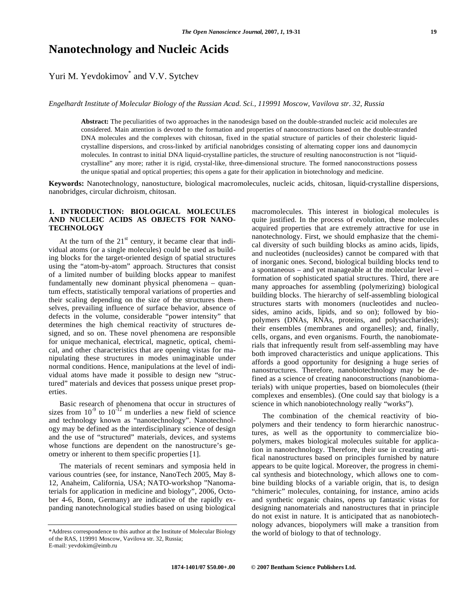# **Nanotechnology and Nucleic Acids**

# Yuri M. Yevdokimov<sup>\*</sup> and V.V. Sytchev

*Engelhardt Institute of Molecular Biology of the Russian Acad. Sci., 119991 Moscow, Vavilova str. 32, Russia* 

**Abstract:** The peculiarities of two approaches in the nanodesign based on the double-stranded nucleic acid molecules are considered. Main attention is devoted to the formation and properties of nanoconstructions based on the double-stranded DNA molecules and the complexes with chitosan, fixed in the spatial structure of particles of their cholesteric liquidcrystalline dispersions, and cross-linked by artificial nanobridges consisting of alternating copper ions and daunomycin molecules. In contrast to initial DNA liquid-crystalline particles, the structure of resulting nanoconstruction is not "liquidcrystalline" any more; rather it is rigid, crystal-like, three-dimensional structure. The formed nanoconstructions possess the unique spatial and optical properties; this opens a gate for their application in biotechnology and medicine.

**Keywords:** Nanotechnology, nanostucture, biological macromolecules, nucleic acids, chitosan, liquid-crystalline dispersions, nanobridges, circular dichroism, chitosan.

### **1. INTRODUCTION: BIOLOGICAL MOLECULES AND NUCLEIC ACIDS AS OBJECTS FOR NANO-TECHNOLOGY**

At the turn of the  $21<sup>st</sup>$  century, it became clear that individual atoms (or a single molecules) could be used as building blocks for the target-oriented design of spatial structures using the "atom-by-atom" approach. Structures that consist of a limited number of building blocks appear to manifest fundamentally new dominant physical phenomena – quantum effects, statistically temporal variations of properties and their scaling depending on the size of the structures themselves, prevailing influence of surface behavior, absence of defects in the volume, considerable "power intensity" that determines the high chemical reactivity of structures designed, and so on. These novel phenomena are responsible for unique mechanical, electrical, magnetic, optical, chemical, and other characteristics that are opening vistas for manipulating these structures in modes unimaginable under normal conditions. Hence, manipulations at the level of individual atoms have made it possible to design new "structured" materials and devices that possess unique preset properties.

 Basic research of phenomena that occur in structures of sizes from  $10^{-9}$  to  $10^{-12}$  m underlies a new field of science and technology known as "nanotechnology". Nanotechnology may be defined as the interdisciplinary science of design and the use of "structured" materials, devices, and systems whose functions are dependent on the nanostructure's geometry or inherent to them specific properties [1].

 The materials of recent seminars and symposia held in various countries (see, for instance, NanoTech 2005, May 8- 12, Anaheim, California, USA; NATO-workshop "Nanomaterials for application in medicine and biology", 2006, October 4-6, Bonn, Germany) are indicative of the rapidly expanding nanotechnological studies based on using biological

macromolecules. This interest in biological molecules is quite justified. In the process of evolution, these molecules acquired properties that are extremely attractive for use in nanotechnology. First, we should emphasize that the chemical diversity of such building blocks as amino acids, lipids, and nucleotides (nucleosides) cannot be compared with that of inorganic ones. Second, biological building blocks tend to a spontaneous – and yet manageable at the molecular level – formation of sophisticated spatial structures. Third, there are many approaches for assembling (polymerizing) biological building blocks. The hierarchy of self-assembling biological structures starts with monomers (nucleotides and nucleosides, amino acids, lipids, and so on); followed by biopolymers (DNAs, RNAs, proteins, and polysaccharides); their ensembles (membranes and organelles); and, finally, cells, organs, and even organisms. Fourth, the nanobiomaterials that infrequently result from self-assembling may have both improved characteristics and unique applications. This affords a good opportunity for designing a huge series of nanostructures. Therefore, nanobiotechnology may be defined as a science of creating nanoconstructions (nanobiomaterials) with unique properties, based on biomolecules (their complexes and ensembles). (One could say that biology is a science in which nanobiotechnology really "works").

 The combination of the chemical reactivity of biopolymers and their tendency to form hierarchic nanostructures, as well as the opportunity to commercialize biopolymers, makes biological molecules suitable for application in nanotechnology. Therefore, their use in creating artifical nanostructures based on principles furnished by nature appears to be quite logical. Moreover, the progress in chemical synthesis and biotechnology, which allows one to combine building blocks of a variable origin, that is, to design "chimeric" molecules, containing, for instance, amino acids and synthetic organic chains, opens up fantastic vistas for designing nanomaterials and nanostructures that in principle do not exist in nature. It is anticipated that as nanobiotechnology advances, biopolymers will make a transition from the world of biology to that of technology.

<sup>\*</sup>Address correspondence to this author at the Institute of Molecular Biology of the RAS, 119991 Moscow, Vavilova str. 32, Russia; E-mail: yevdokim@eimb.ru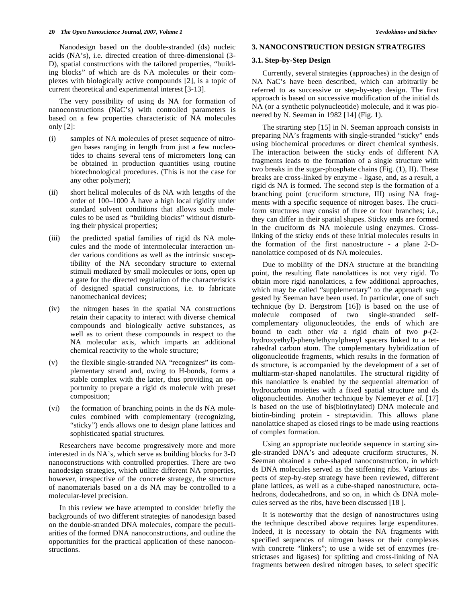Nanodesign based on the double-stranded (ds) nucleic acids (NA's), i.e. directed creation of three-dimensional (3- D), spatial constructions with the tailored properties, "building blocks" of which are ds NA molecules or their complexes with biologically active compounds [2], is a topic of current theoretical and experimental interest [3-13].

 The very possibility of using ds NA for formation of nanoconstructions (NaC's) with controlled parameters is based on a few properties characteristic of NA molecules only  $[2]$ :

- (i) samples of NA molecules of preset sequence of nitrogen bases ranging in length from just a few nucleotides to chains several tens of micrometers long can be obtained in production quantities using routine biotechnological procedures. (This is not the case for any other polymer);
- (ii) short helical molecules of ds NA with lengths of the order of 100–1000 Å have a high local rigidity under standard solvent conditions that allows such molecules to be used as "building blocks" without disturbing their physical properties;
- (iii) the predicted spatial families of rigid ds NA molecules and the mode of intermolecular interaction under various conditions as well as the intrinsic susceptibility of the NA secondary structure to external stimuli mediated by small molecules or ions, open up a gate for the directed regulation of the characteristics of designed spatial constructions, i.e. to fabricate nanomechanical devices;
- (iv) the nitrogen bases in the spatial NA constructions retain their capacity to interact with diverse chemical compounds and biologically active substances, as well as to orient these compounds in respect to the NA molecular axis, which imparts an additional chemical reactivity to the whole structure;
- (v) the flexible single-stranded NA "recognizes" its complementary strand and, owing to H-bonds, forms a stable complex with the latter, thus providing an opportunity to prepare a rigid ds molecule with preset composition;
- (vi) the formation of branching points in the ds NA molecules combined with complementary (recognizing, "sticky") ends allows one to design plane lattices and sophisticated spatial structures.

 Researchers nave become progressively more and more interested in ds NA's, which serve as building blocks for 3-D nanoconstructions with controlled properties. There are two nanodesign strategies, which utilize different NA properties, however, irrespective of the concrete strategy, the structure of nanomaterials based on a ds NA may be controlled to a molecular-level precision.

 In this review we have attempted to consider briefly the backgrounds of two different strategies of nanodesign based on the double-stranded DNA molecules, compare the peculiarities of the formed DNA nanoconstructions, and outline the opportunities for the practical application of these nanoconstructions.

## **3. NANOCONSTRUCTION DESIGN STRATEGIES**

## **3.1. Step-by-Step Design**

 Currently, several strategies (approaches) in the design of NA NaC's have been described, which can arbitrarily be referred to as successive or step-by-step design. The first approach is based on successive modification of the initial ds NA (or a synthetic polynucleotide) molecule, and it was pioneered by N. Seeman in 1982 [14] (Fig. **1**).

 The strarting step [15] in N. Seeman approach consists in preparing NA's fragments with single-stranded "sticky" ends using biochemical procedures or direct chemical synthesis. The interaction between the sticky ends of different NA fragments leads to the formation of a single structure with two breaks in the sugar-phosphate chains (Fig. (**1**), II). These breaks are cross-linked by enzyme - ligase, and, as a result, a rigid ds NA is formed. The second step is the formation of a branching point (cruciform structure, III) using NA fragments with a specific sequence of nitrogen bases. The cruciform structures may consist of three or four branches; i.e., they can differ in their spatial shapes. Sticky ends are formed in the cruciform ds NA molecule using enzymes. Crosslinking of the sticky ends of these initial molecules results in the formation of the first nanostructure - a plane 2-Dnanolattice composed of ds NA molecules.

 Due to mobility of the DNA structure at the branching point, the resulting flate nanolattices is not very rigid. To obtain more rigid nanolattices, a few additional approaches, which may be called "supplementary" to the approach suggested by Seeman have been used. In particular, one of such technique (by D. Bergstrom [16]) is based on the use of molecule composed of two single-stranded selfcomplementary oligonucleotides, the ends of which are bound to each other *via* a rigid chain of two *p*-(2 hydroxyethyl)-phenylethynylphenyl spacers linked to a tetrahedral carbon atom. The complementary hybridization of oligonucleotide fragments, which results in the formation of ds structure, is accompanied by the development of a set of multiarm-star-shaped nanolattiles. The structural rigidity of this nanolattice is enabled by the sequential alternation of hydrocarbon moieties with a fixed spatial structure and ds oligonucleotides. Another technique by Niemeyer *et al*. [17] is based on the use of bis(biotinylated) DNA molecule and biotin-binding protein - streptavidin. This allows plane nanolattice shaped as closed rings to be made using reactions of complex formation.

 Using an appropriate nucleotide sequence in starting single-stranded DNA's and adequate cruciform structures, N. Seeman obtained a cube-shaped nanoconstruction, in which ds DNA molecules served as the stiffening ribs. Various aspects of step-by-step strategy have been reviewed, different plane lattices, as well as a cube-shaped nanostructure, octahedrons, dodecahedrons, and so on, in which ds DNA molecules served as the ribs, have been discussed [18 ].

 It is noteworthy that the design of nanostructures using the technique described above requires large expenditures. Indeed, it is necessary to obtain the NA fragments with specified sequences of nitrogen bases or their complexes with concrete "linkers"; to use a wide set of enzymes (restrictases and ligases) for splitting and cross-linking of NA fragments between desired nitrogen bases, to select specific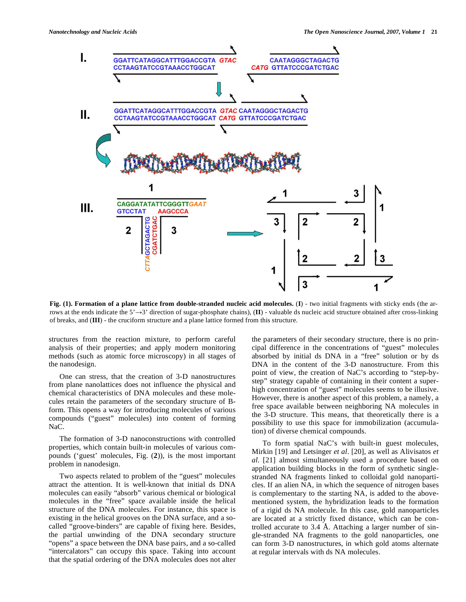

**Fig. (1). Formation of a plane lattice from double-stranded nucleic acid molecules.** (**I**) - two initial fragments with sticky ends (the arrows at the ends indicate the  $5' \rightarrow 3'$  direction of sugar-phosphate chains),  $(\mathbf{I})$  - valuable ds nucleic acid structure obtained after cross-linking of breaks, and (**III**) - the cruciform structure and a plane lattice formed from this structure.

structures from the reaction mixture, to perform careful analysis of their properties; and apply modern monitoring methods (such as atomic force microscopy) in all stages of the nanodesign.

 One can stress, that the creation of 3-D nanostructures from plane nanolattices does not influence the physical and chemical characteristics of DNA molecules and these molecules retain the parameters of the secondary structure of Bform. This opens a way for introducing molecules of various compounds ("guest" molecules) into content of forming NaC.

 The formation of 3-D nanoconstructions with controlled properties, which contain built-in molecules of various compounds ('guest' molecules, Fig. (**2**)), is the most important problem in nanodesign.

 Two aspects related to problem of the "guest" molecules attract the attention. It is well-known that initial ds DNA molecules can easily "absorb" various chemical or biological molecules in the "free" space available inside the helical structure of the DNA molecules. For instance, this space is existing in the helical grooves on the DNA surface, and a socalled "groove-binders" are capable of fixing here. Besides, the partial unwinding of the DNA secondary structure "opens" a space between the DNA base pairs, and a so-called "intercalators" can occupy this space. Taking into account that the spatial ordering of the DNA molecules does not alter the parameters of their secondary structure, there is no principal difference in the concentrations of "guest" molecules absorbed by initial ds DNA in a "free" solution or by ds DNA in the content of the 3-D nanostructure. From this point of view, the creation of NaC's according to "step-bystep" strategy capable of containing in their content a superhigh concentration of "guest" molecules seems to be illusive. However, there is another aspect of this problem, a namely, a free space available between neighboring NA molecules in the 3-D structure. This means, that theoretically there is a possibility to use this space for immobilization (accumulation) of diverse chemical compounds.

 To form spatial NaC's with built-in guest molecules, Mirkin [19] and Letsinger *et al*. [20], as well as Alivisatos *et al*. [21] almost simultaneously used a procedure based on application building blocks in the form of synthetic singlestranded NA fragments linked to colloidal gold nanoparticles. If an alien NA, in which the sequence of nitrogen bases is complementary to the starting NA, is added to the abovementioned system, the hybridization leads to the formation of a rigid ds NA molecule. In this case, gold nanoparticles are located at a strictly fixed distance, which can be controlled accurate to 3.4 Å. Attaching a larger number of single-stranded NA fragments to the gold nanoparticles, one can form 3-D nanostructures, in which gold atoms alternate at regular intervals with ds NA molecules.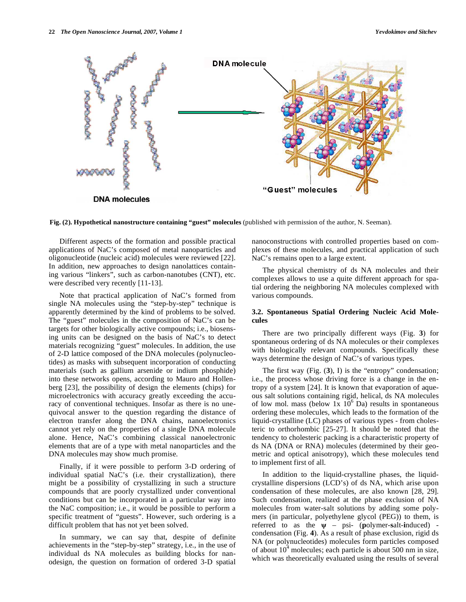

**Fig. (2). Hypothetical nanostructure containing "guest" molecules** (published with permission of the author, N. Seeman).

 Different aspects of the formation and possible practical applications of NaC's composed of metal nanoparticles and oligonucleotide (nucleic acid) molecules were reviewed [22]. In addition, new approaches to design nanolattices containing various "linkers", such as carbon-nanotubes (CNT), etc. were described very recently [11-13].

 Note that practical application of NaC's formed from single NA molecules using the "step-by-step" technique is apparently determined by the kind of problems to be solved. The "guest" molecules in the composition of NaC's can be targets for other biologically active compounds; i.e., biosensing units can be designed on the basis of NaC's to detect materials recognizing "guest" molecules. In addition, the use of 2-D lattice composed of the DNA molecules (polynucleotides) as masks with subsequent incorporation of conducting materials (such as gallium arsenide or indium phosphide) into these networks opens, according to Mauro and Hollenberg [23], the possibility of design the elements (chips) for microelectronics with accuracy greatly exceeding the accuracy of conventional techniques. Insofar as there is no unequivocal answer to the question regarding the distance of electron transfer along the DNA chains, nanoelectronics cannot yet rely on the properties of a single DNA molecule alone. Hence, NaC's combining classical nanoelectronic elements that are of a type with metal nanoparticles and the DNA molecules may show much promise.

 Finally, if it were possible to perform 3-D ordering of individual spatial NaC's (i.e. their crystallization), there might be a possibility of crystallizing in such a structure compounds that are poorly crystallized under conventional conditions but can be incorporated in a particular way into the NaC composition; i.e., it would be possible to perform a specific treatment of "guests". However, such ordering is a difficult problem that has not yet been solved.

 In summary, we can say that, despite of definite achievements in the "step-by-step" strategy, i.e., in the use of individual ds NA molecules as building blocks for nanodesign, the question on formation of ordered 3-D spatial

nanoconstructions with controlled properties based on complexes of these molecules, and practical application of such NaC's remains open to a large extent.

 The physical chemistry of ds NA molecules and their complexes allows to use a quite different approach for spatial ordering the neighboring NA molecules complexed with various compounds.

#### **3.2. Spontaneous Spatial Ordering Nucleic Acid Molecules**

 There are two principally different ways (Fig. **3**) for spontaneous ordering of ds NA molecules or their complexes with biologically relevant compounds. Specifically these ways determine the design of NaC's of various types.

 The first way (Fig. (**3**), I) is the "entropy" condensation; i.e., the process whose driving force is a change in the entropy of a system [24]. It is known that evaporation of aqueous salt solutions containing rigid, helical, ds NA molecules of low mol. mass (below  $1x 10^6$  Da) results in spontaneous ordering these molecules, which leads to the formation of the liquid-crystalline (LC) phases of various types - from cholesteric to orthorhombic [25-27]. It should be noted that the tendency to cholesteric packing is a characteristic property of ds NA (DNA or RNA) molecules (determined by their geometric and optical anisotropy), which these molecules tend to implement first of all.

 In addition to the liquid-crystalline phases, the liquidcrystalline dispersions (LCD's) of ds NA, which arise upon condensation of these molecules, are also known [28, 29]. Such condensation, realized at the phase exclusion of NA molecules from water-salt solutions by adding some polymers (in particular, polyethylene glycol (PEG)) to them, is referred to as the  $\psi$  – psi- (polymer-salt-induced) condensation (Fig. **4**). As a result of phase exclusion, rigid ds NA (or polynucleotides) molecules form particles composed of about  $10^4$  molecules; each particle is about 500 nm in size, which was theoretically evaluated using the results of several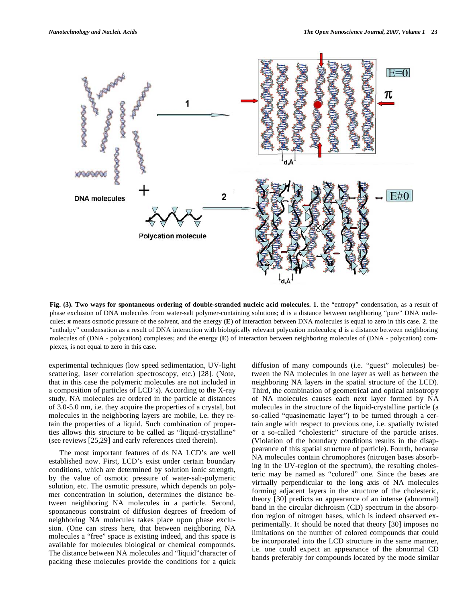

**Fig. (3). Two ways for spontaneous ordering of double-stranded nucleic acid molecules. 1**. the "entropy" condensation, as a result of phase exclusion of DNA molecules from water-salt polymer-containing solutions; **d** is a distance between neighboring "pure" DNA molecules;  $\pi$  means osmotic pressure of the solvent, and the energy (**E**) of interaction between DNA molecules is equal to zero in this case. 2. the "enthalpy" condensation as a result of DNA interaction with biologically relevant polycation molecules; **d** is a distance between neighboring molecules of (DNA - polycation) complexes; and the energy (**E**) of interaction between neighboring molecules of (DNA - polycation) complexes, is not equal to zero in this case.

experimental techniques (low speed sedimentation, UV-light scattering, laser correlation spectroscopy, etc.) [28]. (Note, that in this case the polymeric molecules are not included in a composition of particles of LCD's). According to the X-ray study, NA molecules are ordered in the particle at distances of 3.0-5.0 nm, i.e. they acquire the properties of a crystal, but molecules in the neighboring layers are mobile, i.e. they retain the properties of a liquid. Such combination of properties allows this structure to be called as "liquid-crystalline" (see reviews [25,29] and early references cited therein).

 The most important features of ds NA LCD's are well established now. First, LCD's exist under certain boundary conditions, which are determined by solution ionic strength, by the value of osmotic pressure of water-salt-polymeric solution, etc. The osmotic pressure, which depends on polymer concentration in solution, determines the distance between neighboring NA molecules in a particle. Second, spontaneous constraint of diffusion degrees of freedom of neighboring NA molecules takes place upon phase exclusion. (One can stress here, that between neighboring NA molecules a "free" space is existing indeed, and this space is available for molecules biological or chemical compounds. The distance between NA molecules and "liquid"character of packing these molecules provide the conditions for a quick

diffusion of many compounds (i.e. "guest" molecules) between the NA molecules in one layer as well as between the neighboring NA layers in the spatial structure of the LCD). Third, the combination of geometrical and optical anisotropy of NA molecules causes each next layer formed by NA molecules in the structure of the liquid-crystalline particle (a so-called "quasinematic layer") to be turned through a certain angle with respect to previous one, i.e. spatially twisted or a so-called "cholesteric" structure of the particle arises. (Violation of the boundary conditions results in the disappearance of this spatial structure of particle). Fourth, because NA molecules contain chromophores (nitrogen bases absorbing in the UV-region of the spectrum), the resulting cholesteric may be named as "colored" one. Since the bases are virtually perpendicular to the long axis of NA molecules forming adjacent layers in the structure of the cholesteric, theory [30] predicts an appearance of an intense (abnormal) band in the circular dichroism (CD) spectrum in the absorption region of nitrogen bases, which is indeed observed experimentally. It should be noted that theory [30] imposes no limitations on the number of colored compounds that could be incorporated into the LCD structure in the same manner, i.e. one could expect an appearance of the abnormal CD bands preferably for compounds located by the mode similar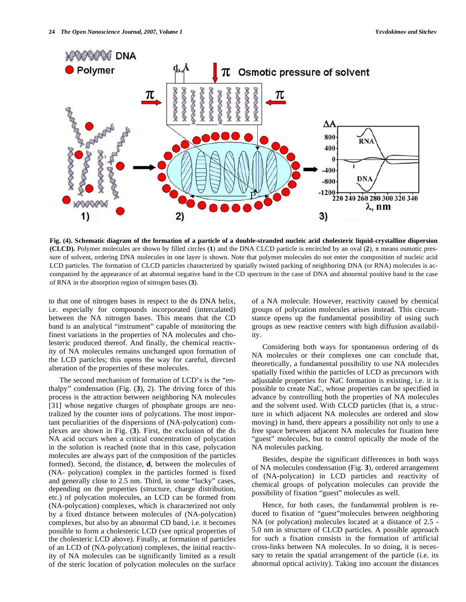

**Fig. (4). Schematic diagram of the formation of a particle of a double-stranded nucleic acid cholesteric liquid-crystalline dispersion (CLCD).** Polymer molecules are shown by filled circles (1) and the DNA CLCD particle is encircled by an oval  $(2)$ ,  $\pi$  means osmotic pressure of solvent, ordering DNA molecules in one layer is shown. Note that polymer molecules do not enter the composition of nucleic acid LCD particles. The formation of CLCD particles characterized by spatially twisted packing of neighboring DNA (or RNA) molecules is accompanied by the appearance of an abnormal negative band in the CD spectrum in the case of DNA and abnormal positive band in the case of RNA in the absorption region of nitrogen bases (**3**).

to that one of nitrogen bases in respect to the ds DNA helix, i.e. especially for compounds incorporated (intercalated) between the NA nitrogen bases. This means that the CD band is an analytical "instrument" capable of monitoring the finest variations in the properties of NA molecules and cholesteric produced thereof. And finally, the chemical reactivity of NA molecules remains unchanged upon formation of the LCD particles; this opens the way for careful, directed alteration of the properties of these molecules.

 The second mechanism of formation of LCD's is the "enthalpy" condensation (Fig. (**3**), 2). The driving force of this process is the attraction between neighboring NA molecules [31] whose negative charges of phosphate groups are neutralized by the counter ions of polycations. The most important peculiarities of the dispersions of (NA-polycation) complexes are shown in Fig. (**3**). First, the exclusion of the ds NA acid occurs when a critical concentration of polycation in the solution is reached (note that in this case, polycation molecules are always part of the composition of the particles formed). Second, the distance, **d**, between the molecules of (NA- polycation) complex in the particles formed is fixed and generally close to 2.5 nm. Third, in some "lucky" cases, depending on the properties (structure, charge distribution, etc.) of polycation molecules, an LCD can be formed from (NA-polycation) complexes, which is characterized not only by a fixed distance between molecules of (NA-polycation) complexes, but also by an abnormal CD band, i.e. it becomes possible to form a cholesteric LCD (see optical properties of the cholesteric LCD above). Finally, at formation of particles of an LCD of (NA-polycation) complexes, the initial reactivity of NA molecules can be significantly limited as a result of the steric location of polycation molecules on the surface of a NA molecule. However, reactivity caused by chemical groups of polycation molecules arises instead. This circumstance opens up the fundamental possibility of using such groups as new reactive centers with high diffusion availability.

 Considering both ways for spontaneous ordering of ds NA molecules or their complexes one can conclude that, theoretically, a fundamental possibility to use NA molecules spatially fixed within the particles of LCD as precursors with adjustable properties for NaC formation is existing, i.e. it is possible to create NaC, whose properties can be specified in advance by controlling both the properties of NA molecules and the solvent used. With CLCD particles (that is, a structure in which adjacent NA molecules are ordered and slow moving) in hand, there appears a possibility not only to use a free space between adjacent NA molecules for fixation here "guest" molecules, but to control optically the mode of the NA molecules packing.

 Besides, despite the significant differences in both ways of NA molecules condensation (Fig. **3**), ordered arrangement of (NA-polycation) in LCD particles and reactivity of chemical groups of polycation molecules can provide the possibility of fixation "guest" molecules as well.

 Hence, for both cases, the fundamental problem is reduced to fixation of "guest"molecules between neighboring NA (or polycation) molecules located at a distance of 2.5 - 5.0 nm in structure of CLCD particles. A possible approach for such a fixation consists in the formation of artificial cross-links between NA molecules. In so doing, it is necessary to retain the spatial arrangement of the particle (i.e. its abnormal optical activity). Taking into account the distances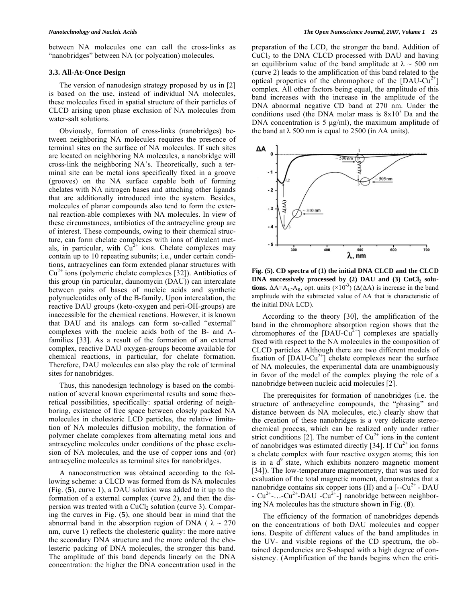between NA molecules one can call the cross-links as "nanobridges" between NA (or polycation) molecules.

#### **3.3. All-At-Once Design**

 The version of nanodesign strategy proposed by us in [2] is based on the use, instead of individual NA molecules, these molecules fixed in spatial structure of their particles of CLCD arising upon phase exclusion of NA molecules from water-salt solutions.

 Obviously, formation of cross-links (nanobridges) between neighboring NA molecules requires the presence of terminal sites on the surface of NA molecules. If such sites are located on neighboring NA molecules, a nanobridge will cross-link the neighboring NA's. Theoretically, such a terminal site can be metal ions specifically fixed in a groove (grooves) on the NA surface capable both of forming chelates with NA nitrogen bases and attaching other ligands that are additionally introduced into the system. Besides, molecules of planar compounds also tend to form the external reaction-able complexes with NA molecules. In view of these circumstances, antibiotics of the antracycline group are of interest. These compounds, owing to their chemical structure, can form chelate complexes with ions of divalent metals, in particular, with  $Cu^{2+}$  ions. Chelate complexes may contain up to 10 repeating subunits; i.e., under certain conditions, antracyclines can form extended planar structures with  $Cu<sup>2+</sup>$  ions (polymeric chelate complexes [32]). Antibiotics of this group (in particular, daunomycin (DAU)) can intercalate between pairs of bases of nucleic acids and synthetic polynucleotides only of the B-family. Upon intercalation, the reactive DAU groups (keto-oxygen and peri-OH-groups) are inaccessible for the chemical reactions. However, it is known that DAU and its analogs can form so-called "external" complexes with the nucleic acids both of the B- and Afamilies [33]. As a result of the formation of an external complex, reactive DAU oxygen-groups become available for chemical reactions, in particular, for chelate formation. Therefore, DAU molecules can also play the role of terminal sites for nanobridges.

 Thus, this nanodesign technology is based on the combination of several known experimental results and some theoretical possibilities, specifically: spatial ordering of neighboring, existence of free space between closely packed NA molecules in cholesteric LCD particles, the relative limitation of NA molecules diffusion mobility, the formation of polymer chelate complexes from alternating metal ions and antracycline molecules under conditions of the phase exclusion of NA molecules, and the use of copper ions and (or) antracycline molecules as terminal sites for nanobridges.

 A nanoconstruction was obtained according to the following scheme: a CLCD was formed from ds NA molecules (Fig. (**5**), curve 1), a DAU solution was added to it up to the formation of a external complex (curve 2), and then the dispersion was treated with a CuCl<sub>2</sub> solution (curve 3). Comparing the curves in Fig. (**5**), one should bear in mind that the abnormal band in the absorption region of DNA ( $\lambda \sim 270$ ) nm, curve 1) reflects the cholesteric quality: the more native the secondary DNA structure and the more ordered the cholesteric packing of DNA molecules, the stronger this band. The amplitude of this band depends linearly on the DNA concentration: the higher the DNA concentration used in the

preparation of the LCD, the stronger the band. Addition of  $CuCl<sub>2</sub>$  to the DNA CLCD processed with DAU and having an equilibrium value of the band amplitude at  $\lambda \sim 500$  nm (curve 2) leads to the amplification of this band related to the optical properties of the chromophore of the  $[DAU-Cu^{2+}]$ complex. All other factors being equal, the amplitude of this band increases with the increase in the amplitude of the DNA abnormal negative CD band at 270 nm. Under the conditions used (the DNA molar mass is  $8x10<sup>5</sup>$  Da and the DNA concentration is 5  $\mu$ g/ml), the maximum amplitude of the band at  $\lambda$  500 nm is equal to 2500 (in  $\Delta A$  units).



**Fig. (5). CD spectra of (1) the initial DNA CLCD and the CLCD**  DNA successively processed by (2) DAU and (3) CuCl<sub>2</sub> solu**tions.**  $\Delta A = A_L - A_R$ , opt. units ( $\times 10^{-3}$ ) ( $\Delta(\Delta A)$  is increase in the band amplitude with the subtracted value of  $\Delta A$  that is characteristic of the initial DNA LCD).

 According to the theory [30], the amplification of the band in the chromophore absorption region shows that the chromophores of the  $[DAU-Cu^{2+}]$  complexes are spatially fixed with respect to the NA molecules in the composition of CLCD particles. Although there are two different models of fixation of  $[DAU-Cu^{2+}]$  chelate complexes near the surface of NA molecules, the experimental data are unambiguously in favor of the model of the complex playing the role of a nanobridge between nucleic acid molecules [2].

 The prerequisites for formation of nanobridges (i.e. the structure of anthracycline compounds, the "phasing" and distance between ds NA molecules, etc.) clearly show that the creation of these nanobridges is a very delicate stereochemical process, which can be realized only under rather strict conditions [2]. The number of  $Cu^{2+}$  ions in the content of nanobridges was estimated directly [34]. If  $Cu^{2+}$  ion forms a chelate complex with four reactive oxygen atoms; this ion is in a  $d^9$  state, which exhibits nonzero magnetic moment [34]). The low-temperature magnetometry, that was used for evaluation of the total magnetic moment, demonstrates that a nanobridge contains six copper ions (II) and a  $[-Cu^{2+} - DAU]$ -  $Cu^{2+}$ -...-Cu<sup>2+</sup>-DAU -Cu<sup>2+</sup>-] nanobridge between neighboring NA molecules has the structure shown in Fig. (**8**).

 The efficiency of the formation of nanobridges depends on the concentrations of both DAU molecules and copper ions. Despite of different values of the band amplitudes in the UV- and visible regions of the CD spectrum, the obtained dependencies are S-shaped with a high degree of consistency. (Amplification of the bands begins when the criti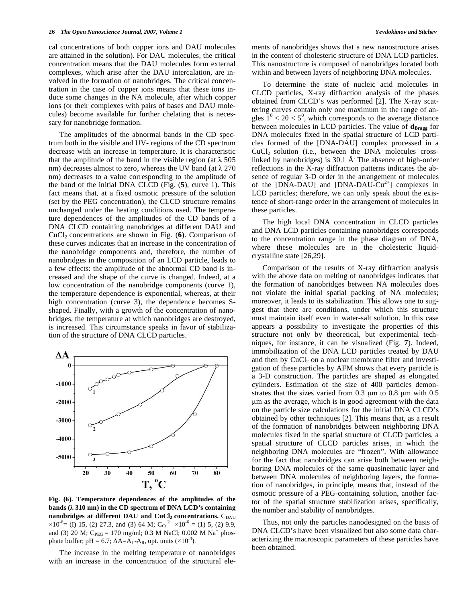cal concentrations of both copper ions and DAU molecules are attained in the solution). For DAU molecules, the critical concentration means that the DAU molecules form external complexes, which arise after the DAU intercalation, are involved in the formation of nanobridges. The critical concentration in the case of copper ions means that these ions induce some changes in the NA molecule, after which copper ions (or their complexes with pairs of bases and DAU molecules) become available for further chelating that is necessary for nanobridge formation.

 The amplitudes of the abnormal bands in the CD spectrum both in the visible and UV- regions of the CD spectrum decrease with an increase in temperature. It is characteristic that the amplitude of the band in the visible region (at  $\lambda$  505 nm) decreases almost to zero, whereas the UV band (at  $\lambda$  270 nm) decreases to a value corresponding to the amplitude of the band of the initial DNA CLCD (Fig. (**5**), curve 1). This fact means that, at a fixed osmotic pressure of the solution (set by the PEG concentration), the CLCD structure remains unchanged under the heating conditions used. The temperature dependences of the amplitudes of the CD bands of a DNA CLCD containing nanobridges at different DAU and CuCl2 concentrations are shown in Fig. (**6**). Comparison of these curves indicates that an increase in the concentration of the nanobridge components and, therefore, the number of nanobridges in the composition of an LCD particle, leads to a few effects: the amplitude of the abnormal CD band is increased and the shape of the curve is changed. Indeed, at a low concentration of the nanobridge components (curve 1), the temperature dependence is exponential, whereas, at their high concentration (curve 3), the dependence becomes Sshaped. Finally, with a growth of the concentration of nanobridges, the temperature at which nanobridges are destroyed, is increased. This circumstance speaks in favor of stabilization of the structure of DNA CLCD particles.



**Fig. (6). Temperature dependences of the amplitudes of the bands ( 310 nm) in the CD spectrum of DNA LCD's containing nanobridges at different DAU and CuCl<sub>2</sub> concentrations.** C<sub>DAU</sub>  $\times 10^{-6}$  = (I) 15, (2) 27.3, and (3) 64 M; C<sub>Cu</sub><sup>2+</sup>  $\times 10^{-6}$  = (1) 5, (2) 9.9, and (3) 20 M;  $C_{PEG} = 170$  mg/ml; 0.3 M NaCl; 0.002 M Na<sup>+</sup> phosphate buffer; pH = 6.7;  $\Delta A = A_L - A_R$ , opt. units (×10<sup>-3</sup>).

 The increase in the melting temperature of nanobridges with an increase in the concentration of the structural elements of nanobridges shows that a new nanostructure arises in the content of cholesteric structure of DNA LCD particles. This nanostructure is composed of nanobridges located both within and between layers of neighboring DNA molecules.

 To determine the state of nucleic acid molecules in CLCD particles, X-ray diffraction analysis of the phases obtained from CLCD's was performed [2]. The X-ray scattering curves contain only one maximum in the range of angles  $1^0$  < 2 $\theta$  < 5<sup>0</sup>, which corresponds to the average distance between molecules in LCD particles. The value of  $\mathbf{d}_{\text{Brage}}$  for DNA molecules fixed in the spatial structure of LCD particles formed of the [DNA-DAU] complex processed in a  $CuCl<sub>2</sub>$  solution (i.e., between the DNA molecules crosslinked by nanobridges) is 30.1 Å. The absence of high-order reflections in the X-ray diffraction patterns indicates the absence of regular 3-D order in the arrangement of molecules of the [DNA-DAU] and [DNA-DAU-Cu<sup>2+</sup>] complexes in LCD particles; therefore, we can only speak about the existence of short-range order in the arrangement of molecules in these particles.

 The high local DNA concentration in CLCD particles and DNA LCD particles containing nanobridges corresponds to the concentration range in the phase diagram of DNA, where these molecules are in the cholesteric liquidcrystalline state [26,29].

 Comparison of the results of X-ray diffraction analysis with the above data on melting of nanobridges indicates that the formation of nanobridges between NA molecules does not violate the initial spatial packing of NA molecules; moreover, it leads to its stabilization. This allows one to suggest that there are conditions, under which this structure must maintain itself even in water-salt solution. In this case appears a possibility to investigate the properties of this structure not only by theoretical, but experimental techniques, for instance, it can be visualized (Fig. **7**). Indeed, immobilization of the DNA LCD particles treated by DAU and then by  $CuCl<sub>2</sub>$  on a nuclear membrane filter and investigation of these particles by AFM shows that every particle is a 3-D construction. The particles are shaped as elongated cylinders. Estimation of the size of 400 particles demonstrates that the sizes varied from  $0.3 \mu m$  to  $0.8 \mu m$  with  $0.5 \mu m$ m as the average, which is in good agreement with the data on the particle size calculations for the initial DNA CLCD's obtained by other techniques [2]. This means that, as a result of the formation of nanobridges between neighboring DNA molecules fixed in the spatial structure of CLCD particles, a spatial structure of CLCD particles arises, in which the neighboring DNA molecules are "frozen". With allowance for the fact that nanobridges can arise both between neighboring DNA molecules of the same quasinematic layer and between DNA molecules of neighboring layers, the formation of nanobridges, in principle, means that, instead of the osmotic pressure of a PEG-containing solution, another factor of the spatial structure stabilization arises, specifically, the number and stability of nanobridges.

 Thus, not only the particles nanodesigned on the basis of DNA CLCD's have been visualized but also some data characterizing the macroscopic parameters of these particles have been obtained.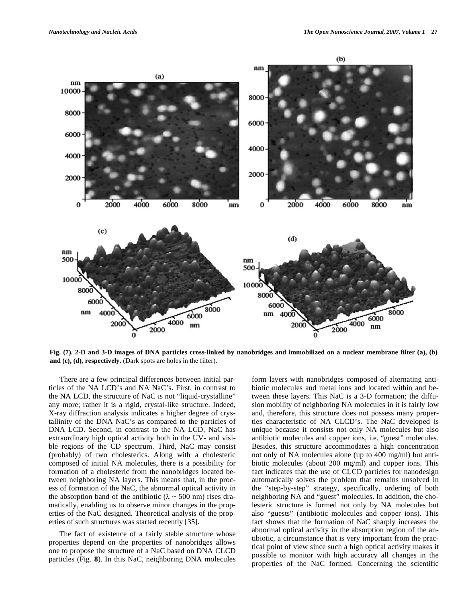

**Fig. (7). 2-D and 3-D images of DNA particles cross-linked by nanobridges and immobilized on a nuclear membrane filter (a), (b) and (c), (d), respectively.** (Dark spots are holes in the filter).

 There are a few principal differences between initial particles of the NA LCD's and NA NaC's. First, in contrast to the NA LCD, the structure of NaC is not "liquid-crystalline" any more; rather it is a rigid, crystal-like structure. Indeed, X-ray diffraction analysis indicates a higher degree of crystallinity of the DNA NaC's as compared to the particles of DNA LCD. Second, in contrast to the NA LCD, NaC has extraordinary high optical activity both in the UV- and visible regions of the CD spectrum. Third, NaC may consist (probably) of two cholesterics. Along with a cholesteric composed of initial NA molecules, there is a possibility for formation of a cholesteric from the nanobridges located between neighboring NA layers. This means that, in the process of formation of the NaC, the abnormal optical activity in the absorption band of the antibiotic ( $\lambda \sim 500$  nm) rises dramatically, enabling us to observe minor changes in the properties of the NaC designed. Theoretical analysis of the properties of such structures was started recently [35].

 The fact of existence of a fairly stable structure whose properties depend on the properties of nanobridges allows one to propose the structure of a NaC based on DNA CLCD particles (Fig. **8**). In this NaC, neighboring DNA molecules form layers with nanobridges composed of alternating antibiotic molecules and metal ions and located within and between these layers. This NaC is a 3-D formation; the diffusion mobility of neighboring NA molecules in it is fairly low and, therefore, this structure does not possess many properties characteristic of NA CLCD's. The NaC developed is unique because it consists not only NA molecules but also antibiotic molecules and copper ions, i.e. "guest" molecules. Besides, this structure accommodates a high concentration not only of NA molecules alone (up to 400 mg/ml) but antibiotic molecules (about 200 mg/ml) and copper ions. This fact indicates that the use of CLCD particles for nanodesign automatically solves the problem that remains unsolved in the "step-by-step" strategy, specifically, ordering of both neighboring NA and "guest" molecules. In addition, the cholesteric structure is formed not only by NA molecules but also "guests" (antibiotic molecules and copper ions). This fact shows that the formation of NaC sharply increases the abnormal optical activity in the absorption region of the antibiotic, a circumstance that is very important from the practical point of view since such a high optical activity makes it possible to monitor with high accuracy all changes in the properties of the NaC formed. Concerning the scientific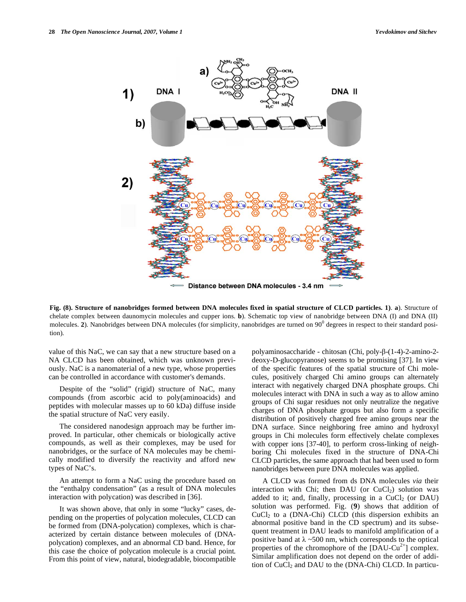

**Fig. (8). Structure of nanobridges formed between DNA molecules fixed in spatial structure of CLCD particles. 1)**. **a**). Structure of chelate complex between daunomycin molecules and cupper ions. **b**). Schematic top view of nanobridge between DNA (I) and DNA (II) molecules. 2). Nanobridges between DNA molecules (for simplicity, nanobridges are turned on 90<sup>0</sup> degrees in respect to their standard position).

value of this NaC, we can say that a new structure based on a NA CLCD has been obtained, which was unknown previously. NaC is a nanomaterial of a new type, whose properties can be controlled in accordance with customer's demands.

 Despite of the "solid" (rigid) structure of NaC, many compounds (from ascorbic acid to poly(aminoacids) and peptides with molecular masses up to 60 kDa) diffuse inside the spatial structure of NaC very easily.

 The considered nanodesign approach may be further improved. In particular, other chemicals or biologically active compounds, as well as their complexes, may be used for nanobridges, or the surface of NA molecules may be chemically modified to diversify the reactivity and afford new types of NaC's.

 An attempt to form a NaC using the procedure based on the "enthalpy condensation" (as a result of DNA molecules interaction with polycation) was described in [36].

 It was shown above, that only in some "lucky" cases, depending on the properties of polycation molecules, CLCD can be formed from (DNA-polycation) complexes, which is characterized by certain distance between molecules of (DNApolycation) complexes, and an abnormal CD band. Hence, for this case the choice of polycation molecule is a crucial point. From this point of view, natural, biodegradable, biocompatible polyaminosaccharide - chitosan (Chi, poly-β-(1-4)-2-amino-2deoxy-D-glucopyranose) seems to be promising [37]. In view of the specific features of the spatial structure of Chi molecules, positively charged Chi amino groups can alternately interact with negatively charged DNA phosphate groups. Chi molecules interact with DNA in such a way as to allow amino groups of Chi sugar residues not only neutralize the negative charges of DNA phosphate groups but also form a specific distribution of positively charged free amino groups near the DNA surface. Since neighboring free amino and hydroxyl groups in Chi molecules form effectively chelate complexes with copper ions [37-40], to perform cross-linking of neighboring Chi molecules fixed in the structure of DNA-Chi CLCD particles, the same approach that had been used to form nanobridges between pure DNA molecules was applied.

 A CLCD was formed from ds DNA molecules *via* their interaction with Chi; then DAU (or  $CuCl<sub>2</sub>$ ) solution was added to it; and, finally, processing in a  $CuCl<sub>2</sub>$  (or DAU) solution was performed. Fig. (**9**) shows that addition of  $CuCl<sub>2</sub>$  to a (DNA-Chi) CLCD (this dispersion exhibits an abnormal positive band in the CD spectrum) and its subsequent treatment in DAU leads to manifold amplification of a positive band at  $\lambda \sim 500$  nm, which corresponds to the optical properties of the chromophore of the  $[DAU-Cu^{2+}]$  complex. Similar amplification does not depend on the order of addition of  $CuCl<sub>2</sub>$  and DAU to the (DNA-Chi) CLCD. In particu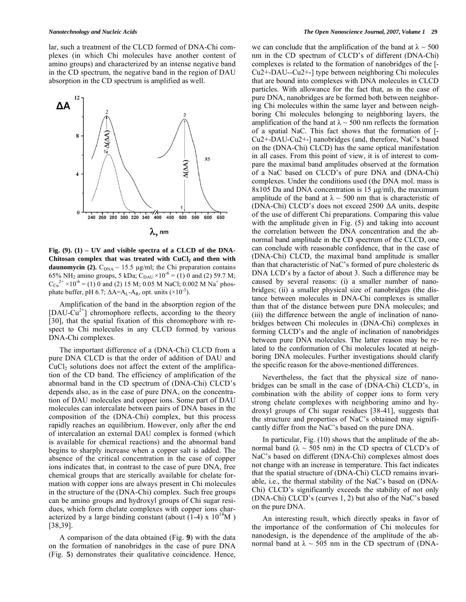lar, such a treatment of the CLCD formed of DNA-Chi complexes (in which Chi molecules have another content of amino groups) and characterized by an intense negative band in the CD spectrum, the negative band in the region of DAU absorption in the CD spectrum is amplified as well.



**Fig. (9). (1) – UV and visible spectra of a CLCD of the DNA-**Chitosan complex that was treated with CuCl<sub>2</sub> and then with **daunomycin (2).**  $C_{DNA} \sim 15.5 \mu g/ml$ ; the Chi preparation contains 65% NH<sub>2</sub> amino groups, 5 kDa;  $C_{DAU} \times 10^{-6} = (1) 0$  and (2) 59.7 M;  $C_{Cu}^{2+}$  × 10<sup>-6</sup> = (1) 0 and (2) 15 M; 0.05 M NaCl; 0.002 M Na<sup>+</sup> phosphate buffer, pH 6.7;  $\Delta A = A_L - A_R$ , opt. units (×10<sup>-3</sup>).

 Amplification of the band in the absorption region of the  $[DAU-Cu^{2+}]$  chromophore reflects, according to the theory [30], that the spatial fixation of this chromophore with respect to Chi molecules in any CLCD formed by various DNA-Chi complexes.

 The important difference of a (DNA-Chi) CLCD from a pure DNA CLCD is that the order of addition of DAU and  $CuCl<sub>2</sub>$  solutions does not affect the extent of the amplification of the CD band. The efficiency of amplification of the abnormal band in the CD spectrum of (DNA-Chi) CLCD's depends also, as in the case of pure DNA, on the concentration of DAU molecules and copper ions. Some part of DAU molecules can intercalate between pairs of DNA bases in the composition of the (DNA-Chi) complex, but this process rapidly reaches an equilibrium. However, only after the end of intercalation an external DAU complex is formed (which is available for chemical reactions) and the abnormal band begins to sharply increase when a copper salt is added. The absence of the critical concentration in the case of copper ions indicates that, in contrast to the case of pure DNA, free chemical groups that are sterically available for chelate formation with copper ions are always present in Chi molecules in the structure of the (DNA-Chi) complex. Such free groups can be amino groups and hydroxyl groups of Chi sugar residues, which form chelate complexes with copper ions characterized by a large binding constant (about  $(1-4)$  x  $10^{14}$ M) [38,39].

 A comparison of the data obtained (Fig. **9**) with the data on the formation of nanobridges in the case of pure DNA (Fig. **5**) demonstrates their qualitative coincidence. Hence, we can conclude that the amplification of the band at  $\lambda \sim 500$ nm in the CD spectrum of CLCD's of different (DNA-Chi) complexes is related to the formation of nanobridges of the [- Cu2+-DAU--Cu2+-] type between neighboring Chi molecules that are bound into complexes with DNA molecules in CLCD particles. With allowance for the fact that, as in the case of pure DNA, nanobridges are be formed both between neighboring Chi molecules within the same layer and between neighboring Chi molecules belonging to neighboring layers, the amplification of the band at  $\lambda \sim 500$  nm reflects the formation of a spatial NaC. This fact shows that the formation of [- Cu2+-DAU-Cu2+-] nanobridges (and, therefore, NaC's based on the (DNA-Chi) CLCD) has the same optical manifestation in all cases. From this point of view, it is of interest to compare the maximal band amplitudes observed at the formation of a NaC based on CLCD's of pure DNA and (DNA-Chi) complexes. Under the conditions used (the DNA mol. mass is 8x105 Da and DNA concentration is 15 μg/ml), the maximum amplitude of the band at  $\lambda \sim 500$  nm that is characteristic of (DNA-Chi) CLCD's does not exceed  $2500 \Delta A$  units, despite of the use of different Chi preparations. Comparing this value with the amplitude given in Fig.  $(5)$  and taking into account the correlation between the DNA concentration and the abnormal band amplitude in the CD spectrum of the CLCD, one can conclude with reasonable confidence, that in the case of (DNA-Chi) CLCD, the maximal band amplitude is smaller than that characteristic of NaC's formed of pure cholesteric ds DNA LCD's by a factor of about 3. Such a difference may be caused by several reasons: (i) a smaller number of nanobridges; (ii) a smaller physical size of nanobridges (the distance between molecules in DNA-Chi complexes is smaller than that of the distance between pure DNA molecules; and (iii) the difference between the angle of inclination of nanobridges between Chi molecules in (DNA-Chi) complexes in forming CLCD's and the angle of inclination of nanobridges between pure DNA molecules. The latter reason may be related to the conformation of Chi molecules located at neighboring DNA molecules. Further investigations should clarify the specific reason for the above-mentioned differences.

 Nevertheless, the fact that the physical size of nanobridges can be small in the case of (DNA-Chi) CLCD's, in combination with the ability of copper ions to form very strong chelate complexes with neighboring amino and hydroxyl groups of Chi sugar residues [38-41], suggests that the structure and properties of NaC's obtained may significantly differ from the NaC's based on the pure DNA.

 In particular, Fig. (10) shows that the amplitude of the abnormal band ( $\lambda \sim 505$  nm) in the CD spectra of CLCD's of NaC's based on different (DNA-Chi) complexes almost does not change with an increase in temperature. This fact indicates that the spatial structure of (DNA-Chi) CLCD remains invariable, i.e., the thermal stability of the NaC's based on (DNA-Chi) CLCD's significantly exceeds the stability of not only (DNA-Chi) CLCD's (curves 1, 2) but also of the NaC's based on the pure DNA.

 An interesting result, which directly speaks in favor of the importance of the conformation of Chi molecules for nanodesign, is the dependence of the amplitude of the abnormal band at  $\lambda \sim 505$  nm in the CD spectrum of (DNA-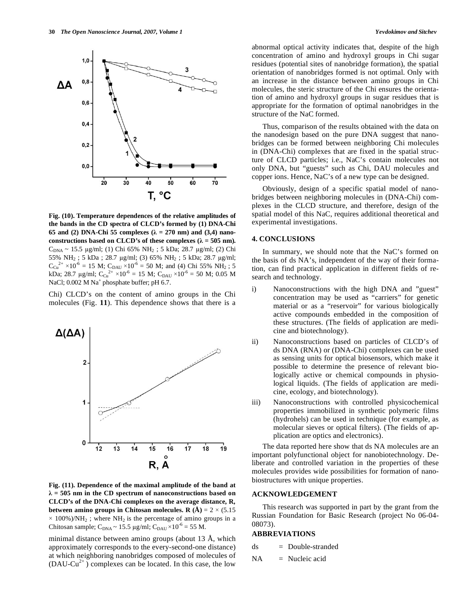

**Fig. (10). Temperature dependences of the relative amplitudes of the bands in the CD spectra of CLCD's formed by (1) DNA-Chi 65 and (2) DNA-Chi 55 complexes (** $\lambda = 270$  **nm) and (3,4) nano**constructions based on CLCD's of these complexes  $(\lambda = 505 \text{ nm})$ .  $C_{DNA} \sim 15.5 \text{ µg/ml};$  (1) Chi 65% NH<sub>2</sub>; 5 kDa; 28.7 µg/ml; (2) Chi 55% NH<sub>2</sub>; 5 kDa; 28.7 μg/ml; (3) 65% NH<sub>2</sub>; 5 kDa; 28.7 μg/ml;  $C_{Cu}^{2+}$  × 10<sup>-6</sup> = 15 M;  $C_{DAU}$  × 10<sup>-6</sup> = 50 M; and (4) Chi 55% NH<sub>2</sub>; 5 kDa; 28.7 µg/ml;  $C_{Cu}^{2+} \times 10^{-6} = 15$  M;  $C_{DAU} \times 10^{-6} = 50$  M; 0.05 M NaCl;  $0.002$  M Na<sup>+</sup> phosphate buffer; pH 6.7.

Chi) CLCD's on the content of amino groups in the Chi molecules (Fig. **11**). This dependence shows that there is a



**Fig. (11). Dependence of the maximal amplitude of the band at**   $\lambda = 505$  nm in the CD spectrum of nanoconstructions based on **CLCD's of the DNA-Chi complexes on the average distance, R***,*  **between amino groups in Chitosan molecules. R**  $(A) = 2 \times (5.15)$  $\times$  100%)/NH<sub>2</sub>; where NH<sub>2</sub> is the percentage of amino groups in a Chitosan sample;  $C_{DNA} \sim 15.5 \mu g/ml$ ;  $C_{DAU} \times 10^{-6} = 55 M$ .

minimal distance between amino groups (about 13 Å, which approximately corresponds to the every-second-one distance) at which neighboring nanobridges composed of molecules of  $(DAU-Cu^{2+})$  complexes can be located. In this case, the low abnormal optical activity indicates that, despite of the high concentration of amino and hydroxyl groups in Chi sugar residues (potential sites of nanobridge formation), the spatial orientation of nanobridges formed is not optimal. Only with an increase in the distance between amino groups in Chi molecules, the steric structure of the Chi ensures the orientation of amino and hydroxyl groups in sugar residues that is appropriate for the formation of optimal nanobridges in the structure of the NaC formed.

 Thus, comparison of the results obtained with the data on the nanodesign based on the pure DNA suggest that nanobridges can be formed between neighboring Chi molecules in (DNA-Chi) complexes that are fixed in the spatial structure of CLCD particles; i.e., NaC's contain molecules not only DNA, but "guests" such as Chi, DAU molecules and copper ions. Hence, NaC's of a new type can be designed.

 Obviously, design of a specific spatial model of nanobridges between neighboring molecules in (DNA-Chi) complexes in the CLCD structure, and therefore, design of the spatial model of this NaC, requires additional theoretical and experimental investigations.

#### **4. CONCLUSIONS**

 In summary, we should note that the NaC's formed on the basis of ds NA's, independent of the way of their formation, can find practical application in different fields of research and technology.

- i) Nanoconstructions with the high DNA and "guest" concentration may be used as "carriers" for genetic material or as a "reservoir" for various biologically active compounds embedded in the composition of these structures. (The fields of application are medicine and biotechnology).
- ii) Nanoconstructions based on particles of CLCD's of ds DNA (RNA) or (DNA-Chi) complexes can be used as sensing units for optical biosensors, which make it possible to determine the presence of relevant biologically active or chemical compounds in physiological liquids. (The fields of application are medicine, ecology, and biotechnology).
- iii) Nanoconstructions with controlled physicochemical properties immobilized in synthetic polymeric films (hydrohels) can be used in technique (for example, as molecular sieves or optical filters). (The fields of application are optics and electronics).

 The data reported here show that ds NA molecules are an important polyfunctional object for nanobiotechnology. Deliberate and controlled variation in the properties of these molecules provides wide possibilities for formation of nanobiostructures with unique properties.

#### **ACKNOWLEDGEMENT**

 This research was supported in part by the grant from the Russian Foundation for Basic Research (project No 06-04- 08073).

#### **ABBREVIATIONS**

| ds | Double-stranded |
|----|-----------------|
|    |                 |

$$
NA = Nucleic acid
$$